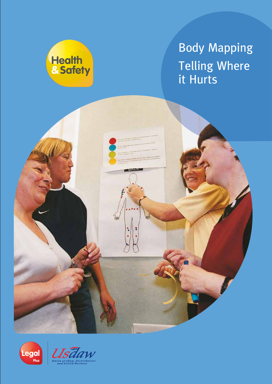# Health<br>& Safety

## Body Mapping Telling Where it Hurts



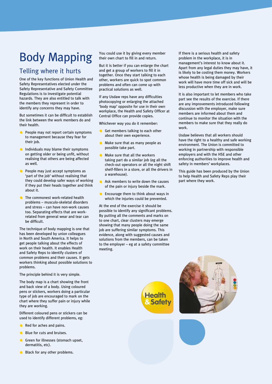### Body Mapping

#### Telling where it hurts

One of the key functions of Union Health and Safety Representatives elected under the Safety Representative and Safety Committee Regulations is to investigate potential hazards. They are also entitled to talk with the members they represent in order to identify any concerns they may have.

But sometimes it can be difficult to establish the link between the work members do and their health.

- People may not report certain symptoms to management because they fear for their job.
- **Individuals may blame their symptoms** on getting older or being unfit, without realising that others are being affected as well.
- **People may just accept symptoms as** 'part of the job' without realising that they could develop safer ways of working if they put their heads together and think about it.
- **C** The commonest work-related health problems – musculo-skeletal disorders and stress – can have non-work causes too. Separating effects that are workrelated from general wear and tear can be difficult.

The technique of body mapping is one that has been developed by union colleagues in North and South America. It helps to get people talking about the effects of work on their health. It enables Health and Safety Reps to identify clusters of common problems and their causes. It gets workers thinking about possible solutions to problems.

The principle behind it is very simple.

The body map is a chart showing the front and back view of a body. Using coloured pens or stickers, workers doing a particular type of job are encouraged to mark on the chart where they suffer pain or injury while they are working.

Different coloured pens or stickers can be used to identify different problems, eg:

- Red for aches and pains.
- Blue for cuts and bruises.
- Green for illnesses (stomach upset, dermatitis, etc).
- Black for any other problems.

You could use it by giving every member their own chart to fill in and return.

But it is better if you can enlarge the chart and get a group of workers to fill it in together. Once they start talking to each other, workers are quick to spot common problems and often can come up with practical solutions as well.

If any Usdaw reps have any difficulties photocopying or enlarging the attached 'body map' opposite for use in their own workplace, the Health and Safety Officer at Central Office can provide copies.

Whichever way you do it remember:

- $\bullet$ Get members talking to each other about their own experience.
- Make sure that as many people as possible take part.
- Make sure that all the workers  $\bullet$ taking part do a similar job (eg all the check-out operators or all the night shift shelf-fillers in a store, or all the drivers in a warehouse).
- Ask members to write down the causes of the pain or injury beside the mark.
- $\bullet$ Encourage them to think about ways in which the injuries could be prevented.

At the end of the exercise it should be possible to identify any significant problems. By putting all the comments and marks on to one chart, clear clusters may emerge showing that many people doing the same job are suffering similar symptoms. This evidence, along with suggested causes and solutions from the members, can be taken to the employer – eg at a safety committee meeting.

If there is a serious health and safety problem in the workplace, it is in management's interest to know about it. Apart from any legal duties they may have, it is likely to be costing them money. Workers whose health is being damaged by their work will have more time off sick and will be less productive when they are in work.

It is also important to let members who take part see the results of the exercise. If there are any improvements introduced following discussion with the employer, make sure members are informed about them and continue to monitor the situation with the members to make sure that they really do work.

Usdaw believes that all workers should have the right to a healthy and safe working environment. The Union is committed to working in partnership with responsible employers and with the HSE and other enforcing authorities to improve health and safety in members' workplaces.

This guide has been produced by the Union to help Health and Safety Reps play their part where they work.

**Safet** 

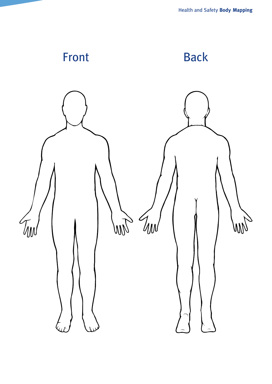